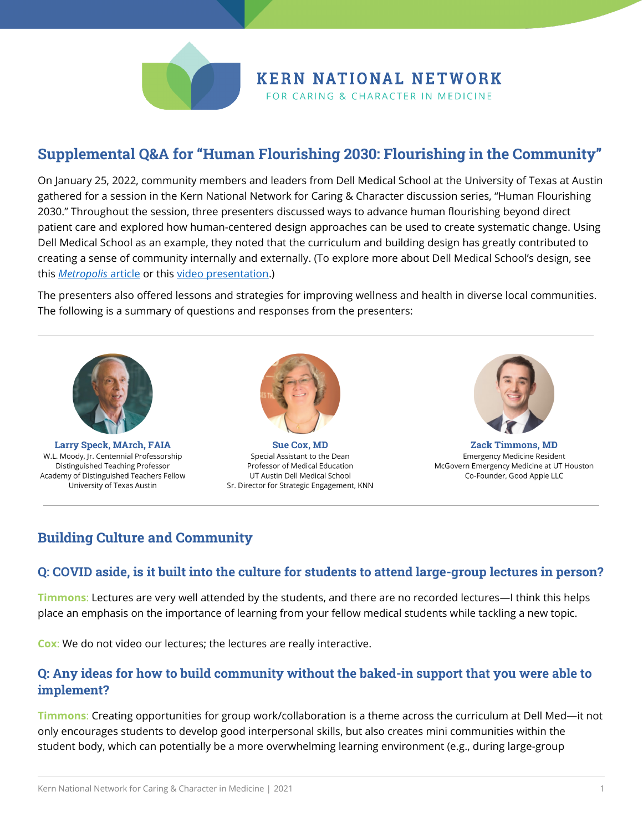

# **KERN NATIONAL NETWORK**

FOR CARING & CHARACTER IN MEDICINE

# **Supplemental Q&A for "Human Flourishing 2030: Flourishing in the Community"**

On January 25, 2022, community members and leaders from Dell Medical School at the University of Texas at Austin gathered for a session in the Kern National Network for Caring & Character discussion series, "Human Flourishing 2030." Throughout the session, three presenters discussed ways to advance human flourishing beyond direct patient care and explored how human-centered design approaches can be used to create systematic change. Using Dell Medical School as an example, they noted that the curriculum and building design has greatly contributed to creating a sense of community internally and externally. (To explore more about Dell Medical School's design, see this *[Metropolis](https://metropolismag.com/projects/dell-medical-school-university-texas-austin/)* article or this [video presentation.](https://www.youtube.com/watch?v=T2FZJXF6hq4))

The presenters also offered lessons and strategies for improving wellness and health in diverse local communities. The following is a summary of questions and responses from the presenters:



Larry Speck, MArch, FAIA W.L. Moody, Jr. Centennial Professorship Distinguished Teaching Professor Academy of Distinguished Teachers Fellow University of Texas Austin



**Sue Cox, MD** Special Assistant to the Dean Professor of Medical Education UT Austin Dell Medical School Sr. Director for Strategic Engagement, KNN



**Zack Timmons, MD Emergency Medicine Resident** McGovern Emergency Medicine at UT Houston Co-Founder, Good Apple LLC

## **Building Culture and Community**

#### **Q: COVID aside, is it built into the culture for students to attend large-group lectures in person?**

**Timmons**: Lectures are very well attended by the students, and there are no recorded lectures—I think this helps place an emphasis on the importance of learning from your fellow medical students while tackling a new topic.

**Cox**: We do not video our lectures; the lectures are really interactive.

#### **Q: Any ideas for how to build community without the baked-in support that you were able to implement?**

**Timmons**: Creating opportunities for group work/collaboration is a theme across the curriculum at Dell Med—it not only encourages students to develop good interpersonal skills, but also creates mini communities within the student body, which can potentially be a more overwhelming learning environment (e.g., during large-group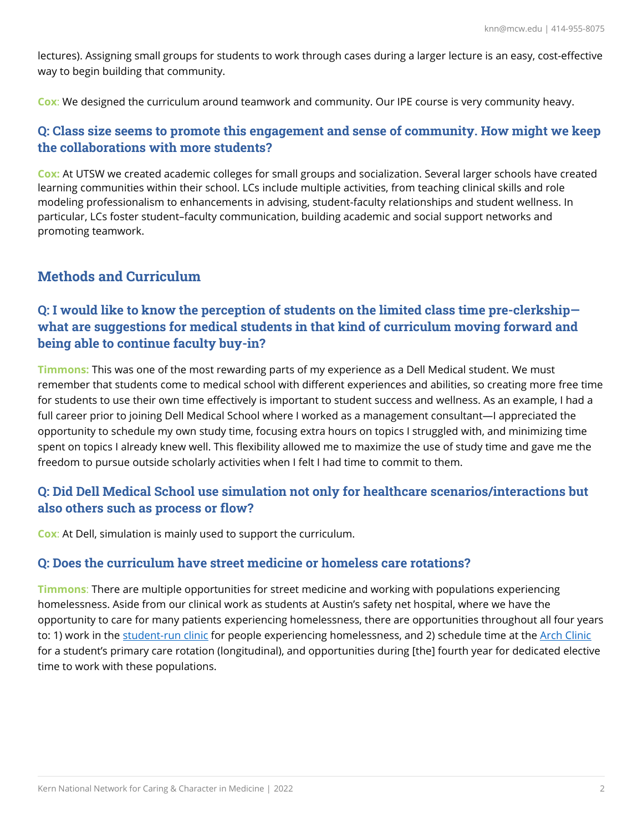lectures). Assigning small groups for students to work through cases during a larger lecture is an easy, cost-effective way to begin building that community.

**Cox**: We designed the curriculum around teamwork and community. Our IPE course is very community heavy.

#### **Q: Class size seems to promote this engagement and sense of community. How might we keep the collaborations with more students?**

**Cox:** At UTSW we created academic colleges for small groups and socialization. Several larger schools have created learning communities within their school. LCs include multiple activities, from teaching clinical skills and role modeling professionalism to enhancements in advising, student-faculty relationships and student wellness. In particular, LCs foster student–faculty communication, building academic and social support networks and promoting teamwork.

## **Methods and Curriculum**

## **Q: I would like to know the perception of students on the limited class time pre-clerkship what are suggestions for medical students in that kind of curriculum moving forward and being able to continue faculty buy-in?**

**Timmons:** This was one of the most rewarding parts of my experience as a Dell Medical student. We must remember that students come to medical school with different experiences and abilities, so creating more free time for students to use their own time effectively is important to student success and wellness. As an example, I had a full career prior to joining Dell Medical School where I worked as a management consultant—I appreciated the opportunity to schedule my own study time, focusing extra hours on topics I struggled with, and minimizing time spent on topics I already knew well. This flexibility allowed me to maximize the use of study time and gave me the freedom to pursue outside scholarly activities when I felt I had time to commit to them.

#### **Q: Did Dell Medical School use simulation not only for healthcare scenarios/interactions but also others such as process or flow?**

**Cox**: At Dell, simulation is mainly used to support the curriculum.

#### **Q: Does the curriculum have street medicine or homeless care rotations?**

**Timmons**: There are multiple opportunities for street medicine and working with populations experiencing homelessness. Aside from our clinical work as students at Austin's safety net hospital, where we have the opportunity to care for many patients experiencing homelessness, there are opportunities throughout all four years to: 1) work in the [student-run clinic](https://www.cddoyleclinic.com/) for people experiencing homelessness, and 2) schedule time at the [Arch Clinic](https://communitycaretx.org/locations/#ARCH) for a student's primary care rotation (longitudinal), and opportunities during [the] fourth year for dedicated elective time to work with these populations.